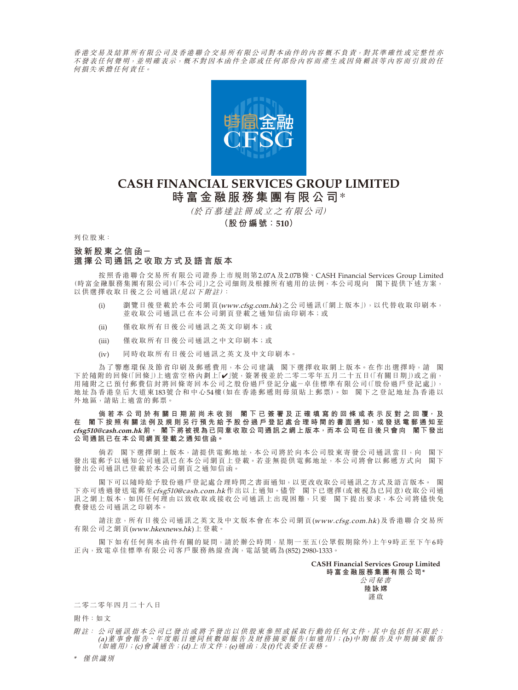香港交易及結算所有限公司及香港聯合交易所有限公司對本函件的內容概不負責,對其準確性或完整性亦 不發表任何 聲 明, 並 明 確 表 示, 概 不 對 因 本 函 件 全 部 或 任 何 部 份 內 容 而 產 生 或 因 倚 賴 該 等 內 容 而 引 致 的 任 何損失承擔任何責任。



# **CASH FINANCIAL SERVICES GROUP LIMITED 時富金融服務集團有限公司**\*

(於百慕達註冊成立之有限公司)

**(股份編號:510)**

列位股東:

## **致新股東之信函- 選擇公司通訊之收取方式及語言版本**

按照香港聯合交易所有限公司證券上市規則第2.07A及2.07B條、CASH Financial Services Group Limited (時富金融服務集團有限公司)(「本公司」)之公司細則及根據所有適用的法例,本公司現向 閣下提供下述方案, 以供選擇收取日後之公司通訊(見以下附註):

- (i) 瀏覽日後登載於本公司網頁(www.cfsg.com.hk)之公司通訊(「網上版本」),以代替收取印刷本, 並收取公司通訊已在本公司網頁登載之通知信函印刷本;或
- (ii) 僅收取所有日後公司通訊之英文印刷本;或
- (iii) 僅收取所有日後公司通訊之中文印刷本;或
- (iv) 同時收取所有日後公司通訊之英文及中文印刷本。

為了響應環保及節省印刷及郵遞費用,本公司建議 閣下選擇收取網上版本。在作出選擇時,請 閣 下於隨附的回條(「回條」)上適當空格內劃上「✔」號,簽署後並於二零二零年五月二十五日(「有關日期」)或之前, 用隨附之已預付郵費信封將回條寄回本公司之股份過戶登記分處-卓佳標準有限公司(「股份過戶登記處」), 地址為香港皇后大道東183號合和中心54樓(如在香港郵遞則毋須貼上郵票)。如 閣下之登記地址為香港以 外地區,請貼上適當的郵票。

**倘若本公司於有關日期前尚未收到 閣 下 已 簽 署 及 正 確 填 寫 的 回 條 或 表 示 反 對 之 回 覆, 及** 在 閣下按照有關法例及規則另行預先給予股份過戶登記處合理時間的書面通知,或發送電郵通知至 **cfsg510@cash.com.hk 前, 閣下將被視為已同意收取公司通訊之網上版本,而本公司在日後只會向 閣下發出 公司通訊已在本公司網頁登載之通知信函。**

倘若 閣下選擇網上版本,請提供電郵地址,本公司將於向本公司股東寄發公司通訊當日,向 閣下 發出電郵予以通知公司通訊已在本公司網頁上登載。若並無提供電郵地址,本公司將會以郵遞方式向 閣下 發出公司通訊已登載於本公司網頁之通知信函。

閣下可以隨時給予股份過戶登記處合理時間之書面通知,以更改收取公司通訊之方式及語言版本。 閣 下亦可透過發送電郵至cfsg510@cash.com.hk 作出以上通知。儘管 閣下已選擇(或被視為已同意)收取公司通 訊之網上版本,如因任何理由以致收取或接收公司通訊上出現困難,只要 閣下提出要求,本公司將儘快免 費發送公司通訊之印刷本。

請注意,所有日後公司通訊之英文及中文版本會在本公司網頁(www.cfsg.com.hk)及香港聯合交易所 有限公司之網頁(www.hkexnews.hk)上登載。

閣下如有任何與本函件有關的疑問,請於辦公時間,星期一至五(公眾假期除外)上午9時正至下午6時 正內,致電卓佳標準有限公司客戶服務熱線查詢,電話號碼為(852) 2980-1333。

> **CASH Financial Services Group Limited 時富金融服務集團有限公司\***

> > 公司秘書 **陸詠嫦** 謹啟

#### 二零二零年四月二十八日

附件:如文

附註: 公 司 通 訊 指 本 公 司 已 發 出 或 將 予 發 出 以 供 股 東 參 照 或 採 取 行 動 的 任 何 文 件,其 中 包 括 但 不 限 於 : (a)董 事 會 報 告、年 度 賬 目 連 同 核 數 師 報 告 及 財 務 摘 要 報 告(如適用);(b)中期報告及中期摘要報告 (如適用);(c)會議通告;(d)上市文件;(e)通函;及(f)代表委任表格。